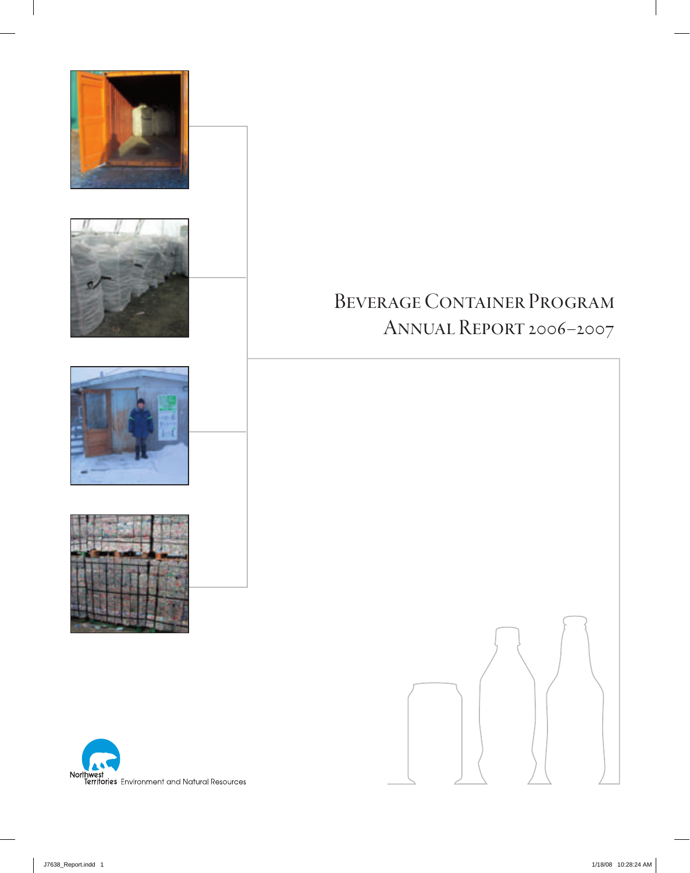

# Beverage Container Program Annual Report 2006–2007



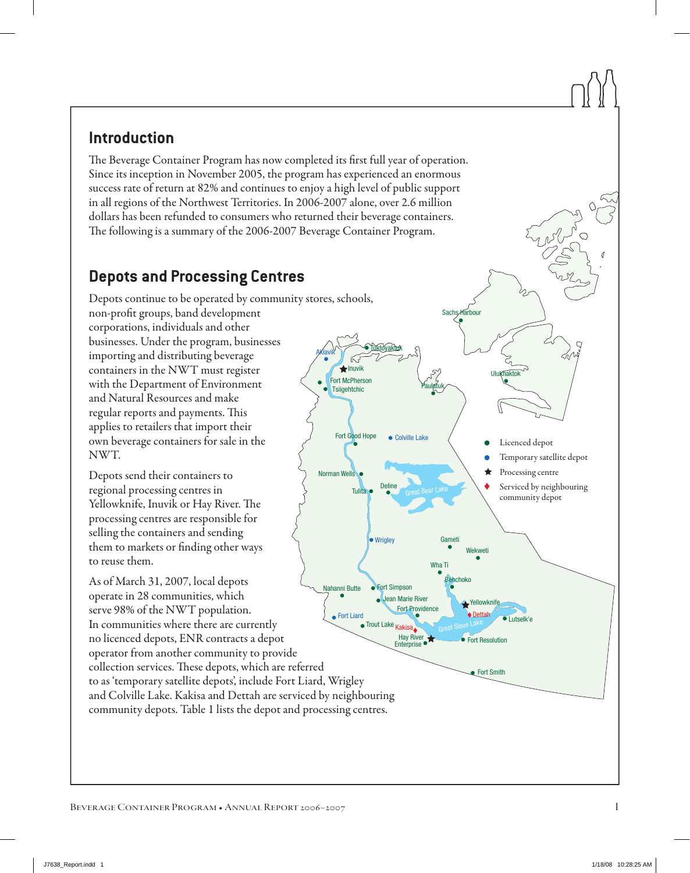# **Introduction**

The Beverage Container Program has now completed its first full year of operation. Since its inception in November 2005, the program has experienced an enormous success rate of return at 82% and continues to enjoy a high level of public support in all regions of the Northwest Territories. In 2006-2007 alone, over 2.6 million dollars has been refunded to consumers who returned their beverage containers. The following is a summary of the 2006-2007 Beverage Container Program.

Great Bear Lake

Paulatuk

● Colville Lake

Tuktoyaktuk

Wrigley

Deline

Tulita

Fort Good Hope

Norman Wells

**Tsiigehtchic** 

Aklavik

Inuvik Fort McPherson

Great Slave Lake

Behchoko

Sachs Harbour

**Ulukhaktok** 

 Licenced depot

 Processing centre

Temporary satellite depot

Serviced by neighbouring community depot

Gameti

Wha Ti

Dettah

Yellowknife

Fort Resolution

**Eort Smith** 

**Wekweti** 

Lutselk'e

# **Depots and Processing Centres**

Depots continue to be operated by community stores, schools,

non-profit groups, band development corporations, individuals and other businesses. Under the program, businesses importing and distributing beverage containers in the NWT must register with the Department of Environment and Natural Resources and make regular reports and payments. This applies to retailers that import their own beverage containers for sale in the NWT.

Depots send their containers to regional processing centres in Yellowknife, Inuvik or Hay River. The processing centres are responsible for selling the containers and sending them to markets or finding other ways to reuse them.

Kakisa Jean Marie River Hay River Trout Lake **Enterprise** Fort Simpson ● Fort Liard Nahanni Butte Fort Providence As of March 31, 2007, local depots operate in 28 communities, which serve 98% of the NWT population. In communities where there are currently no licenced depots, ENR contracts a depot operator from another community to provide collection services. These depots, which are referred to as 'temporary satellite depots', include Fort Liard, Wrigley and Colville Lake. Kakisa and Dettah are serviced by neighbouring community depots. Table 1 lists the depot and processing centres.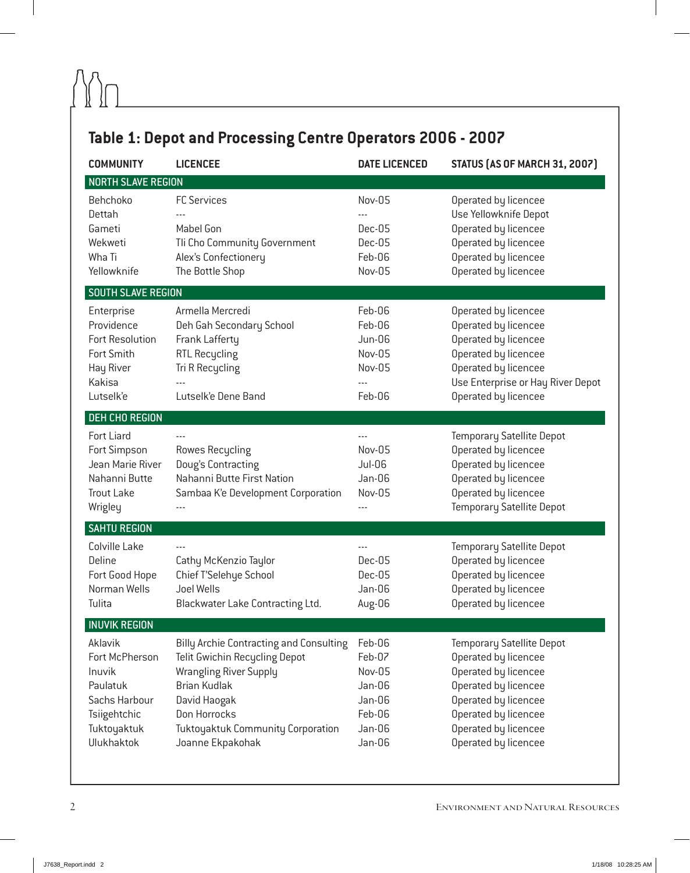# **Table 1: Depot and Processing Centre Operators 2006 - 2007**

| <b>COMMUNITY</b>                                                                                                     | <b>LICENCEE</b>                                                                                                                                                                                                                                | <b>DATE LICENCED</b>                                                         | <b>STATUS (AS OF MARCH 31, 2007)</b>                                                                                                                                                                     |
|----------------------------------------------------------------------------------------------------------------------|------------------------------------------------------------------------------------------------------------------------------------------------------------------------------------------------------------------------------------------------|------------------------------------------------------------------------------|----------------------------------------------------------------------------------------------------------------------------------------------------------------------------------------------------------|
| <b>NORTH SLAVE REGION</b>                                                                                            |                                                                                                                                                                                                                                                |                                                                              |                                                                                                                                                                                                          |
| Behchoko<br>Dettah<br>Gameti<br>Wekweti<br>Wha Ti<br>Yellowknife                                                     | <b>FC Services</b><br>Mabel Gon<br>Tli Cho Community Government<br>Alex's Confectionery<br>The Bottle Shop                                                                                                                                     | Nov-05<br>Dec-05<br>Dec-05<br>Feb-06<br>Nov-05                               | Operated by licencee<br>Use Yellowknife Depot<br>Operated by licencee<br>Operated by licencee<br>Operated by licencee<br>Operated by licencee                                                            |
| SOUTH SLAVE REGION                                                                                                   |                                                                                                                                                                                                                                                |                                                                              |                                                                                                                                                                                                          |
| Enterprise<br>Providence<br>Fort Resolution<br>Fort Smith<br>Hay River<br>Kakisa<br>Lutselk'e                        | Armella Mercredi<br>Deh Gah Secondary School<br>Frank Lafferty<br><b>RTL Recycling</b><br>Tri R Recycling<br>Lutselk'e Dene Band                                                                                                               | Feb-06<br>Feb-06<br><b>Jun-06</b><br>Nov-05<br>Nov-05<br>Feb-06              | Operated by licencee<br>Operated by licencee<br>Operated by licencee<br>Operated by licencee<br>Operated by licencee<br>Use Enterprise or Hay River Depot<br>Operated by licencee                        |
| <b>DEH CHO REGION</b>                                                                                                |                                                                                                                                                                                                                                                |                                                                              |                                                                                                                                                                                                          |
| Fort Liard<br>Fort Simpson<br>Jean Marie River<br>Nahanni Butte<br><b>Trout Lake</b><br>Wrigley                      | Rowes Recycling<br>Doug's Contracting<br>Nahanni Butte First Nation<br>Sambaa K'e Development Corporation                                                                                                                                      | Nov-05<br><b>Jul-06</b><br>Jan-06<br>Nov-05                                  | <b>Temporary Satellite Depot</b><br>Operated by licencee<br>Operated by licencee<br>Operated by licencee<br>Operated by licencee<br><b>Temporary Satellite Depot</b>                                     |
| <b>SAHTU REGION</b>                                                                                                  |                                                                                                                                                                                                                                                |                                                                              |                                                                                                                                                                                                          |
| Colville Lake<br>Deline<br>Fort Good Hope<br>Norman Wells<br>Tulita                                                  | Cathy McKenzio Taylor<br>Chief T'Selehye School<br>Joel Wells<br>Blackwater Lake Contracting Ltd.                                                                                                                                              | Dec-05<br>Dec-05<br>Jan-06<br>Aug-06                                         | <b>Temporary Satellite Depot</b><br>Operated by licencee<br>Operated by licencee<br>Operated by licencee<br>Operated by licencee                                                                         |
| <b>INUVIK REGION</b>                                                                                                 |                                                                                                                                                                                                                                                |                                                                              |                                                                                                                                                                                                          |
| Aklavik<br>Fort McPherson<br>Inuvik<br>Paulatuk<br>Sachs Harbour<br>Tsiigehtchic<br>Tuktoyaktuk<br><b>Ulukhaktok</b> | <b>Billy Archie Contracting and Consulting</b><br><b>Telit Gwichin Recycling Depot</b><br><b>Wrangling River Supply</b><br><b>Brian Kudlak</b><br>David Haogak<br>Don Horrocks<br><b>Tuktoyaktuk Community Corporation</b><br>Joanne Ekpakohak | Feb-06<br>Feb-07<br>Nov-05<br>Jan-06<br>Jan-06<br>Feb-06<br>Jan-06<br>Jan-06 | <b>Temporary Satellite Depot</b><br>Operated by licencee<br>Operated by licencee<br>Operated by licencee<br>Operated by licencee<br>Operated by licencee<br>Operated by licencee<br>Operated by licencee |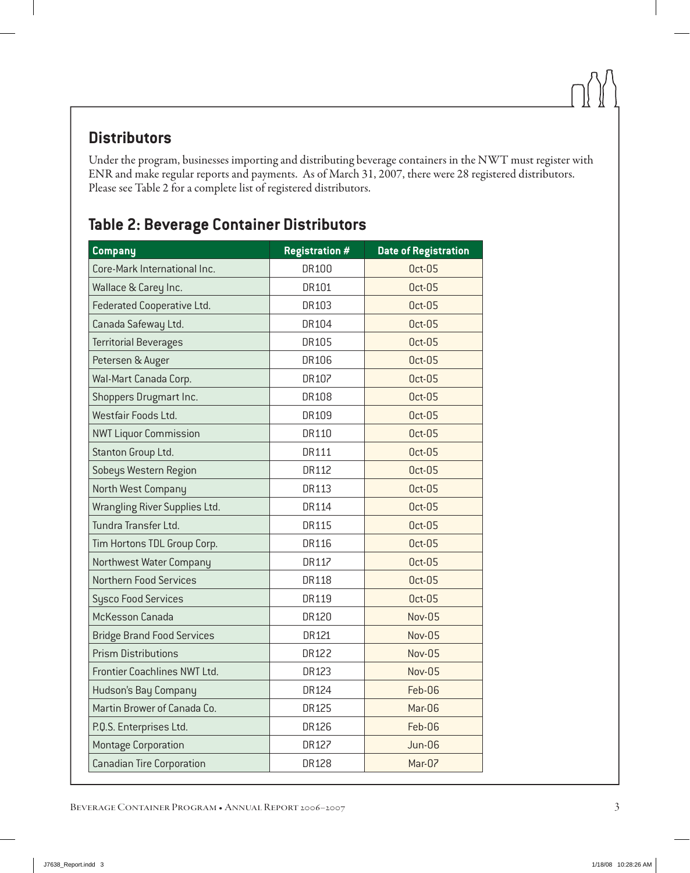# **Distributors**

Under the program, businesses importing and distributing beverage containers in the NWT must register with ENR and make regular reports and payments. As of March 31, 2007, there were 28 registered distributors. Please see Table 2 for a complete list of registered distributors.

# **Table 2: Beverage Container Distributors**

| <b>Company</b>                    | <b>Registration #</b> | <b>Date of Registration</b> |
|-----------------------------------|-----------------------|-----------------------------|
| Core-Mark International Inc.      | DR100                 | <b>Oct-05</b>               |
| Wallace & Carey Inc.              | DR101                 | <b>Oct-05</b>               |
| Federated Cooperative Ltd.        | DR103                 | <b>Oct-05</b>               |
| Canada Safeway Ltd.               | DR104                 | <b>Oct-05</b>               |
| <b>Territorial Beverages</b>      | <b>DR105</b>          | <b>Oct-05</b>               |
| Petersen & Auger                  | DR106                 | <b>Oct-05</b>               |
| Wal-Mart Canada Corp.             | DR107                 | <b>Oct-05</b>               |
| Shoppers Drugmart Inc.            | DR108                 | <b>Oct-05</b>               |
| Westfair Foods Ltd.               | DR109                 | <b>Oct-05</b>               |
| <b>NWT Liquor Commission</b>      | DR110                 | <b>Oct-05</b>               |
| Stanton Group Ltd.                | <b>DR111</b>          | <b>Oct-05</b>               |
| Sobeys Western Region             | DR112                 | <b>Oct-05</b>               |
| North West Company                | DR113                 | <b>Oct-05</b>               |
| Wrangling River Supplies Ltd.     | DR114                 | <b>Oct-05</b>               |
| Tundra Transfer Ltd.              | DR115                 | <b>Oct-05</b>               |
| Tim Hortons TDL Group Corp.       | DR116                 | <b>Oct-05</b>               |
| Northwest Water Company           | DR117                 | <b>Oct-05</b>               |
| <b>Northern Food Services</b>     | <b>DR118</b>          | <b>Oct-05</b>               |
| <b>Sysco Food Services</b>        | DR119                 | <b>Oct-05</b>               |
| McKesson Canada                   | DR120                 | Nov-05                      |
| <b>Bridge Brand Food Services</b> | DR121                 | Nov-05                      |
| <b>Prism Distributions</b>        | DR122                 | Nov-05                      |
| Frontier Coachlines NWT Ltd.      | DR123                 | Nov-05                      |
| Hudson's Bay Company              | DR124                 | Feb-06                      |
| Martin Brower of Canada Co.       | DR125                 | Mar-06                      |
| P.Q.S. Enterprises Ltd.           | DR126                 | Feb-06                      |
| <b>Montage Corporation</b>        | DR127                 | Jun-06                      |
| <b>Canadian Tire Corporation</b>  | DR128                 | Mar-07                      |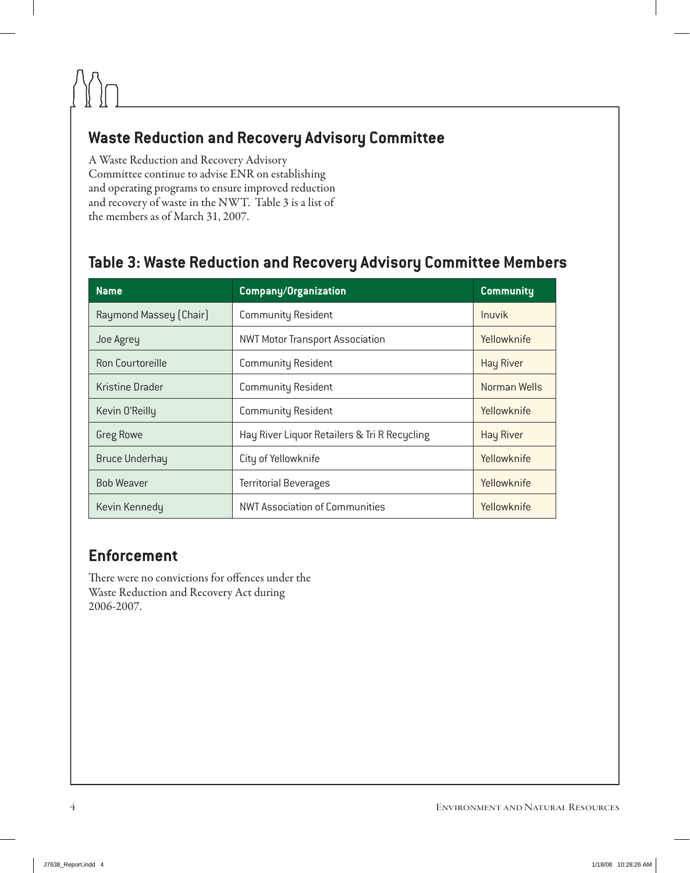# **Waste Reduction and Recovery Advisory Committee**

A Waste Reduction and Recovery Advisory Committee continue to advise ENR on establishing and operating programs to ensure improved reduction and recovery of waste in the NWT. Table 3 is a list of the members as of March 31, 2007.

# **Table 3: Waste Reduction and Recovery Advisory Committee Members**

| <b>Name</b>             | <b>Company/Organization</b>                  | <b>Community</b> |
|-------------------------|----------------------------------------------|------------------|
| Raymond Massey (Chair)  | <b>Community Resident</b>                    | Inuvik           |
| Joe Agrey               | <b>NWT Motor Transport Association</b>       | Yellowknife      |
| <b>Ron Courtoreille</b> | <b>Community Resident</b>                    | <b>Hay River</b> |
| <b>Kristine Drader</b>  | <b>Community Resident</b>                    | Norman Wells     |
| Kevin O'Reilly          | <b>Community Resident</b>                    | Yellowknife      |
| <b>Greg Rowe</b>        | Hay River Liquor Retailers & Tri R Recycling | <b>Hay River</b> |
| <b>Bruce Underhay</b>   | City of Yellowknife                          | Yellowknife      |
| <b>Bob Weaver</b>       | <b>Territorial Beverages</b>                 | Yellowknife      |
| Kevin Kennedy           | <b>NWT Association of Communities</b>        | Yellowknife      |

# **Enforcement**

There were no convictions for offences under the Waste Reduction and Recovery Act during 2006-2007.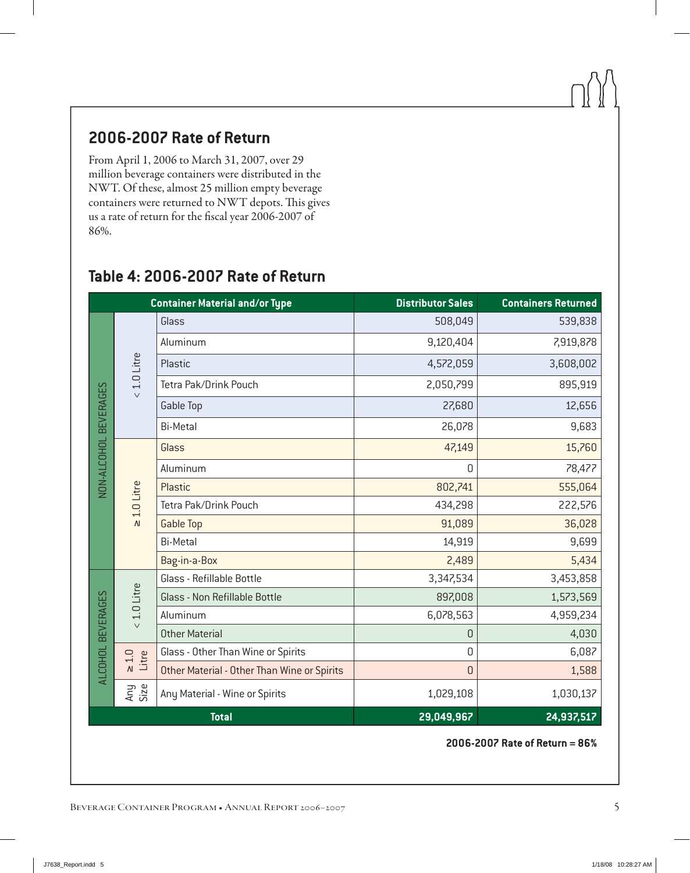# **2006-2007 Rate of Return**

From April 1, 2006 to March 31, 2007, over 29 million beverage containers were distributed in the NWT. Of these, almost 25 million empty beverage containers were returned to NWT depots. This gives us a rate of return for the fiscal year 2006-2007 of 86%.

|                                                               |                  | <b>Container Material and/or Type</b>       | <b>Distributor Sales</b> | <b>Containers Returned</b> |
|---------------------------------------------------------------|------------------|---------------------------------------------|--------------------------|----------------------------|
|                                                               |                  | Glass                                       | 508,049                  | 539,838                    |
| 1.0 Litre                                                     | Aluminum         | 9,120,404                                   | 7,919,878                |                            |
|                                                               | Plastic          | 4,572,059                                   | 3,608,002                |                            |
|                                                               |                  | Tetra Pak/Drink Pouch                       | 2,050,799                | 895,919                    |
|                                                               | $\vee$           | <b>Gable Top</b>                            | 27,680                   | 12,656                     |
|                                                               |                  | <b>Bi-Metal</b>                             | 26,078                   | 9,683                      |
|                                                               |                  | Glass                                       | 47,149                   | 15,760                     |
|                                                               |                  | Aluminum                                    | 0                        | 78,477                     |
| NON-ALCOHOL BEVERAGES<br>1.0 Litre<br>$\overline{\mathsf{M}}$ | Plastic          | 802,741                                     | 555,064                  |                            |
|                                                               |                  | Tetra Pak/Drink Pouch                       | 434,298                  | 222,576                    |
|                                                               | <b>Gable Top</b> | 91,089                                      | 36,028                   |                            |
|                                                               |                  | <b>Bi-Metal</b>                             | 14,919                   | 9,699                      |
|                                                               |                  | Bag-in-a-Box                                | 2,489                    | 5,434                      |
|                                                               |                  | Glass - Refillable Bottle                   | 3,347,534                | 3,453,858                  |
|                                                               | 1.0 Litre        | Glass - Non Refillable Bottle               | 897,008                  | 1,573,569                  |
|                                                               |                  | Aluminum                                    | 6,078,563                | 4,959,234                  |
|                                                               | $\vee$           | <b>Other Material</b>                       | 0                        | 4,030                      |
| ALCOHOL BEVERAGES<br>$\geq 1.0$<br>Litre                      |                  | Glass - Other Than Wine or Spirits          | 0                        | 6,087                      |
|                                                               |                  | Other Material - Other Than Wine or Spirits | 0                        | 1,588                      |
|                                                               | Any<br>Size      | Any Material - Wine or Spirits              | 1,029,108                | 1,030,137                  |
|                                                               |                  | <b>Total</b>                                | 29,049,967               | 24,937,517                 |

# **Table 4: 2006-2007 Rate of Return**

**2006-2007 Rate of Return = 86%**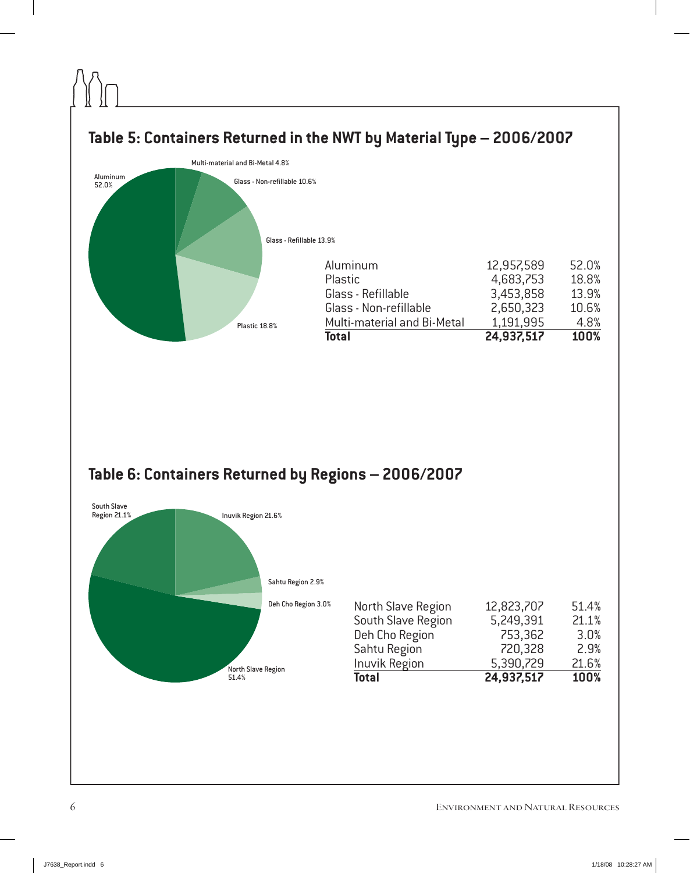

# **Table 6: Containers Returned by Regions – 2006/2007**



| North Slave Region | 12,823,707 | 51.4% |
|--------------------|------------|-------|
| South Slave Region | 5,249,391  | 21.1% |
| Deh Cho Region     | 753,362    | 3.0%  |
| Sahtu Region       | 720,328    | 2.9%  |
| Inuvik Region      | 5,390,729  | 21.6% |
| <b>Total</b>       | 24,937,517 | 100%  |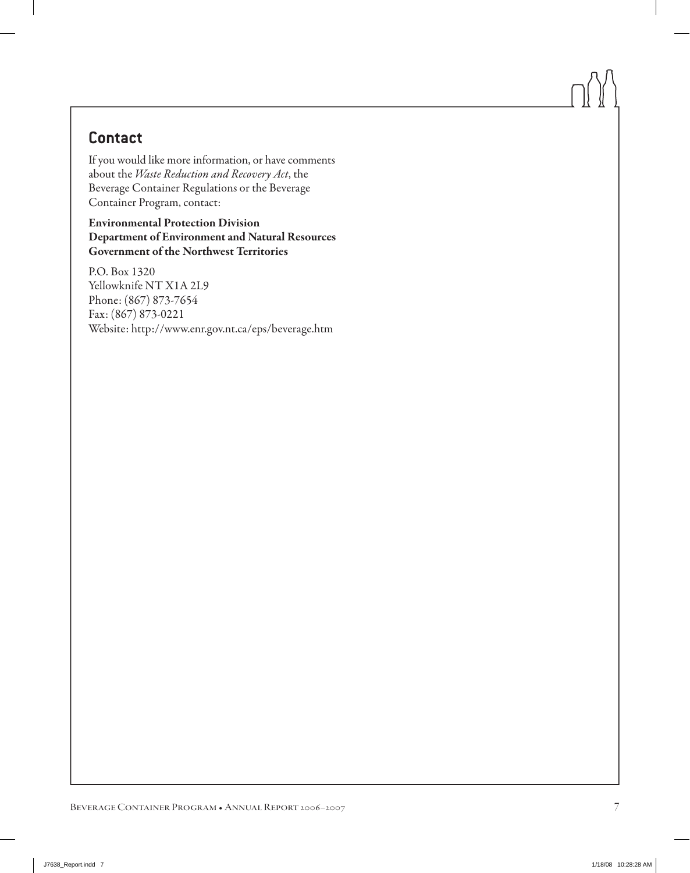# **Contact**

If you would like more information, or have comments about the *Waste Reduction and Recovery Act*, the Beverage Container Regulations or the Beverage Container Program, contact:

Environmental Protection Division Department of Environment and Natural Resources Government of the Northwest Territories

P.O. Box 1320 Yellowknife NT X1A 2L9 Phone: (867) 873-7654 Fax: (867) 873-0221 Website: http://www.enr.gov.nt.ca/eps/beverage.htm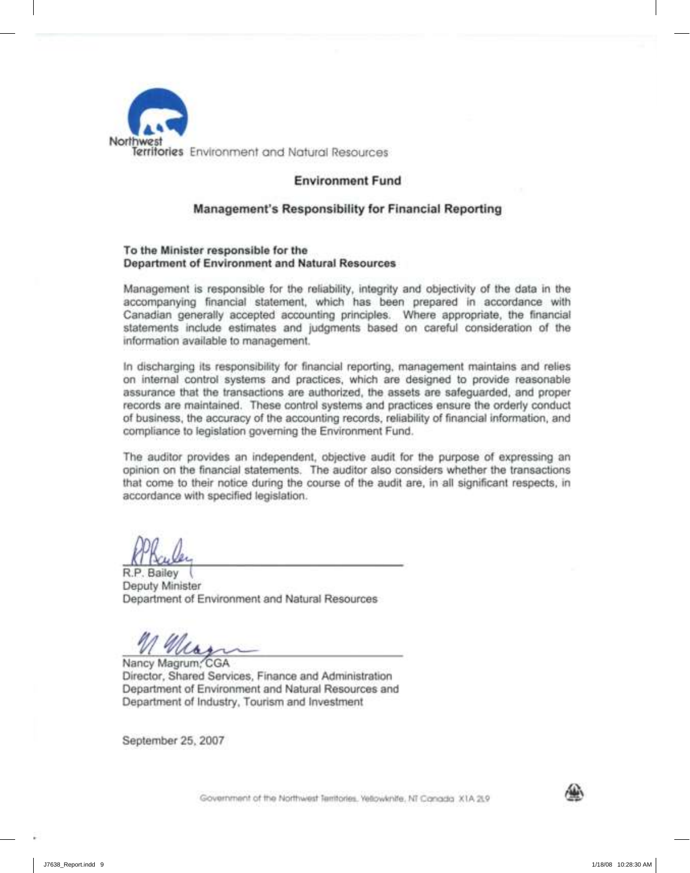

### **Environment Fund**

### **Management's Responsibility for Financial Reporting**

#### **To the Minister responsible for the Department of Environment and Natural Resources**

Management is responsible for the reliability, integrity and objectivity of the data in the accompanying financial statement, which has been prepared in accordance with Canadian generally accepted accounting principles. Where appropriate, the financial statements include estimates and judgments based on careful consideration of the information available to management.

In discharging its responsibility for financial reporting, management maintains and relies on internal control systems and practices, which are designed to provide reasonable assurance that the transactions are authorized, the assets are safeguarded, and proper records are maintained. These control systems and practices ensure the orderly conduct of business, the accuracy of the accounting records, reliability of financial information, and compliance to legislation governing the Environment Fund.

The auditor provides an independent, objective audit for the purpose of expressing an opinion on the financial statements. The auditor also considers whether the transactions that come to their notice during the course of the audit are, in all significant respects, in accordance with specified legislation.

R.P. Bailey Deputy Minister Department of Environment and Natural Resources

Mar

Nancy Magrum, CGA Director, Shared Services, Finance and Administration Department of Environment and Natural Resources and Department of Industry, Tourism and Investment

September 25, 2007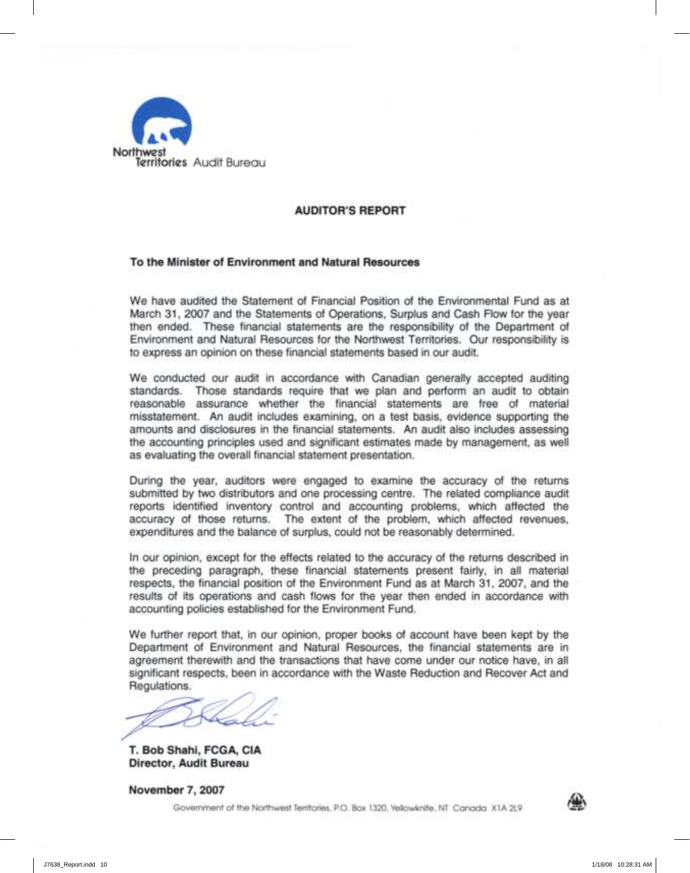

### **AUDITOR'S REPORT**

#### **To the Minister of Environment and Natural Resources**

We have audited the Statement of Financial Position of the Environmental Fund as at March 31, 2007 and the Statements of Operations, Surplus and Cash Flow for the year then ended. These financial statements are the responsibility of the Department of Environment and Natural Resources for the Northwest Territories. Our responsibility is to express an opinion on these financial statements based in our audit.

We conducted our audit in accordance with Canadian generally accepted auditing standards. Those standards require that we plan and perform an audit to obtain reasonable assurance whether the financial statements are free of material misstatement. An audit includes examining, on a test basis, evidence supporting the amounts and disclosures in the financial statements. An audit also includes assessing the accounting principles used and significant estimates made by management, as well as evaluating the overall financial statement presentation.

During the year, auditors were engaged to examine the accuracy of the returns submitted by two distributors and one processing centre. The related compliance audit reports identified inventory control and accounting problems, which affected the accuracy of those returns. The extent of the problem, which affected revenues, expenditures and the balance of surplus, could not be reasonably determined.

In our opinion, except for the effects related to the accuracy of the returns described in the preceding paragraph, these financial statements present fairly, in all material respects, the financial position of the Environment Fund as at March 31, 2007, and the results of its operations and cash flows for the year then ended in accordance with accounting policies established for the Environment Fund.

We further report that, in our opinion, proper books of account have been kept by the Department of Environment and Natural Resources, the financial statements are in agreement therewith and the transactions that have come under our notice have, in all significant respects, been in accordance with the Waste Reduction and Recover Act and Regulations.

**T. Bob Shahi, FCGA, CIA Director, Audit Bureau**

**November** 7, **2007**

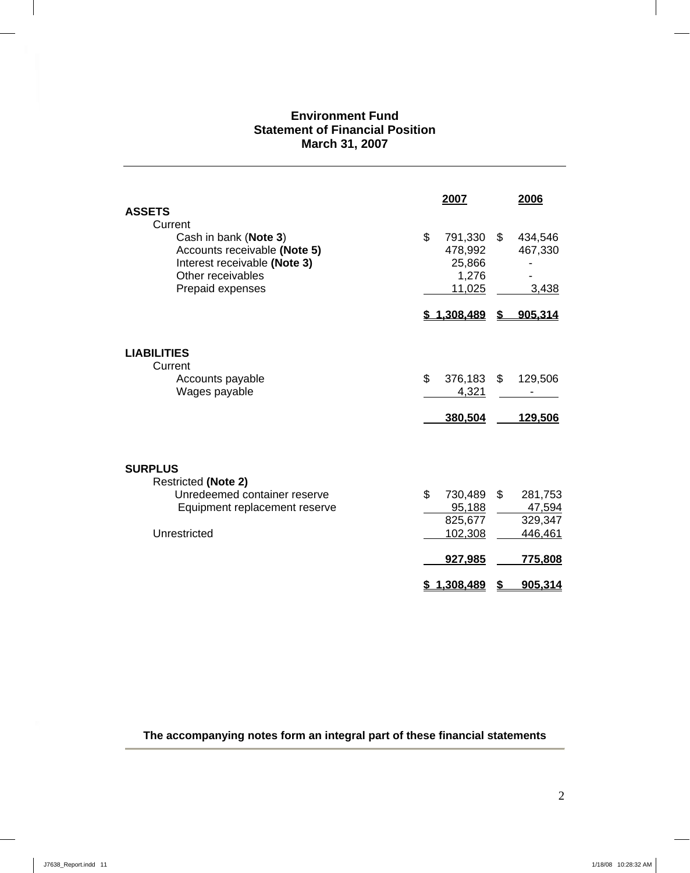# **Environment Fund Statement of Financial Position March 31, 2007**

| <b>ASSETS</b>                                                                                                                             | 2007                                                       |                       | 2006                                               |
|-------------------------------------------------------------------------------------------------------------------------------------------|------------------------------------------------------------|-----------------------|----------------------------------------------------|
| Current<br>Cash in bank (Note 3)<br>Accounts receivable (Note 5)<br>Interest receivable (Note 3)<br>Other receivables<br>Prepaid expenses | \$<br>791,330<br>478,992<br>25,866                         | \$<br>1,276<br>11,025 | 434,546<br>467,330<br>3,438                        |
|                                                                                                                                           | \$1,308,489                                                | \$                    | 905,314                                            |
| <b>LIABILITIES</b><br>Current<br>Accounts payable<br>Wages payable                                                                        | \$<br>376,183<br>380,504                                   | \$<br>4,321           | 129,506<br>129,506                                 |
| <b>SURPLUS</b><br><b>Restricted (Note 2)</b><br>Unredeemed container reserve<br>Equipment replacement reserve<br>Unrestricted             | $\mathfrak{L}$<br>730,489<br>825,677<br>102,308<br>927,985 | \$<br>95,188          | 281,753<br>47,594<br>329,347<br>446,461<br>775,808 |
|                                                                                                                                           | \$1,308,489                                                | \$                    | 905,314                                            |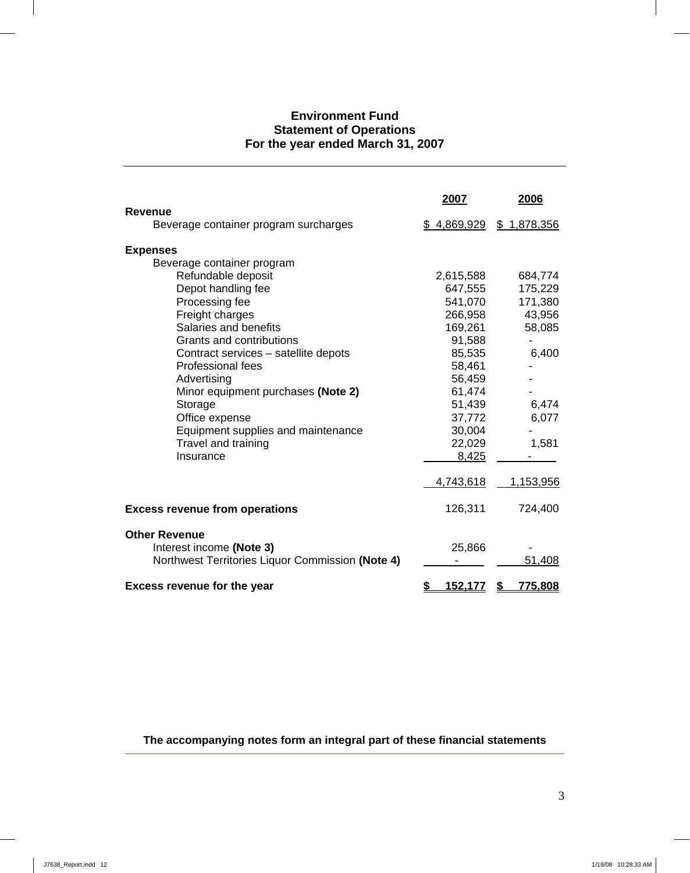# **Environment Fund Statement of Operations For the year ended March 31, 2007**

|                                                         | 2007                 | 2006          |
|---------------------------------------------------------|----------------------|---------------|
| <b>Revenue</b><br>Beverage container program surcharges | \$4,869,929          | \$1,878,356   |
| <b>Expenses</b>                                         |                      |               |
| Beverage container program                              |                      |               |
| Refundable deposit                                      | 2,615,588            | 684,774       |
| Depot handling fee                                      | 647,555              | 175,229       |
| Processing fee                                          | 541,070              | 171,380       |
| Freight charges                                         | 266,958              | 43,956        |
| Salaries and benefits                                   | 169,261              | 58,085        |
| Grants and contributions                                | 91,588               |               |
| Contract services - satellite depots                    | 85,535               | 6,400         |
| <b>Professional fees</b>                                | 58,461               |               |
| Advertising                                             | 56,459               |               |
| Minor equipment purchases (Note 2)                      | 61,474               |               |
| Storage                                                 | 51,439               | 6,474         |
| Office expense                                          | 37,772               | 6,077         |
| Equipment supplies and maintenance                      | 30,004               |               |
| Travel and training                                     | 22,029               | 1,581         |
| Insurance                                               | 8,425                |               |
|                                                         | 4,743,618            | 1,153,956     |
| <b>Excess revenue from operations</b>                   | 126,311              | 724,400       |
| <b>Other Revenue</b>                                    |                      |               |
| Interest income (Note 3)                                | 25,866               |               |
| Northwest Territories Liquor Commission (Note 4)        |                      | 51,408        |
| <b>Excess revenue for the year</b>                      | \$<br><u>152,177</u> | \$<br>775,808 |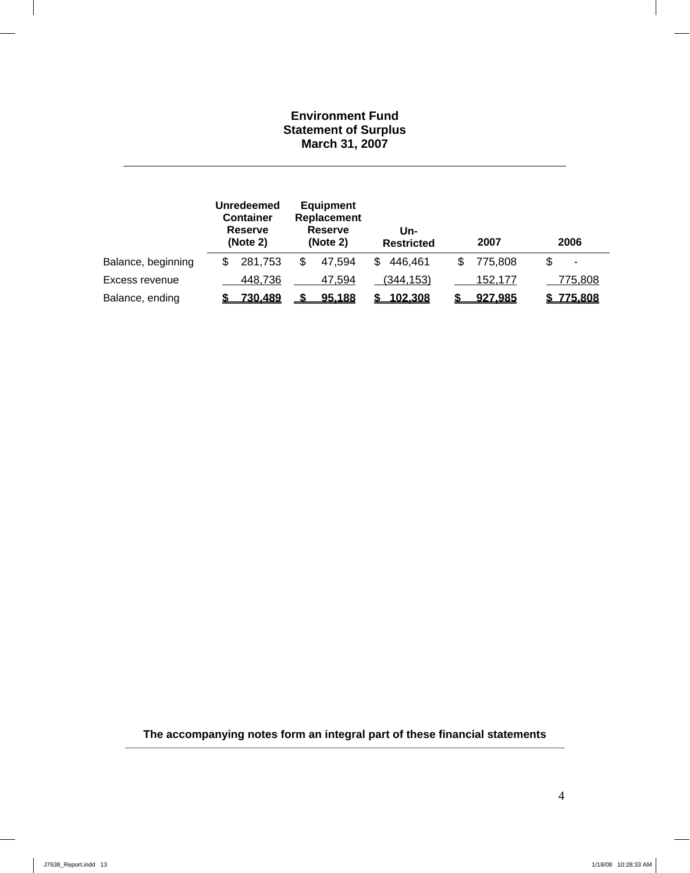## **Environment Fund Statement of Surplus March 31, 2007**

|                    | <b>Unredeemed</b><br><b>Container</b><br><b>Reserve</b><br>(Note 2) |         | <b>Equipment</b><br>Replacement<br><b>Reserve</b><br>(Note 2) |        | Un-<br><b>Restricted</b> |           | 2007 |         | 2006 |                |
|--------------------|---------------------------------------------------------------------|---------|---------------------------------------------------------------|--------|--------------------------|-----------|------|---------|------|----------------|
| Balance, beginning | \$                                                                  | 281,753 | S                                                             | 47.594 | \$                       | 446,461   |      | 775,808 | \$   | $\blacksquare$ |
| Excess revenue     |                                                                     | 448,736 |                                                               | 47,594 |                          | (344,153) |      | 152,177 |      | 775,808        |
| Balance, ending    |                                                                     | 730,489 |                                                               | 95,188 |                          | 102,308   |      | 927,985 |      | \$775,808      |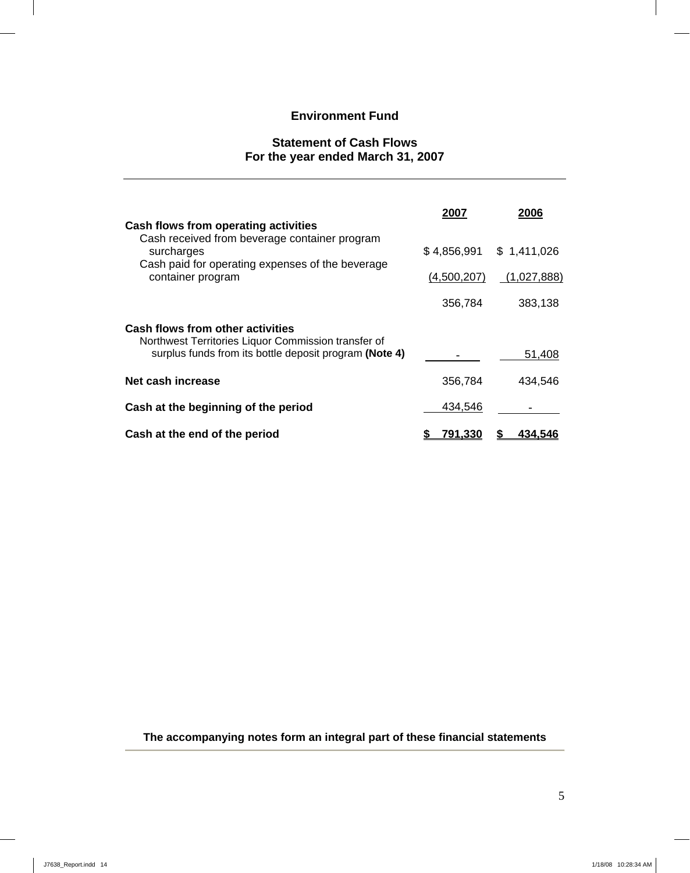# **Environment Fund**

## **Statement of Cash Flows For the year ended March 31, 2007**

|                                                                                                                                                                              | 2007           | 2006                                     |
|------------------------------------------------------------------------------------------------------------------------------------------------------------------------------|----------------|------------------------------------------|
| Cash flows from operating activities<br>Cash received from beverage container program<br>surcharges<br>Cash paid for operating expenses of the beverage<br>container program | (4,500,207)    | $$4,856,991$ $$1,411,026$<br>(1,027,888) |
|                                                                                                                                                                              | 356,784        | 383,138                                  |
| <b>Cash flows from other activities</b><br>Northwest Territories Liquor Commission transfer of<br>surplus funds from its bottle deposit program (Note 4)                     |                | 51,408                                   |
| Net cash increase                                                                                                                                                            | 356,784        | 434,546                                  |
| Cash at the beginning of the period                                                                                                                                          | 434,546        |                                          |
| Cash at the end of the period                                                                                                                                                | <u>791.330</u> | 434.546                                  |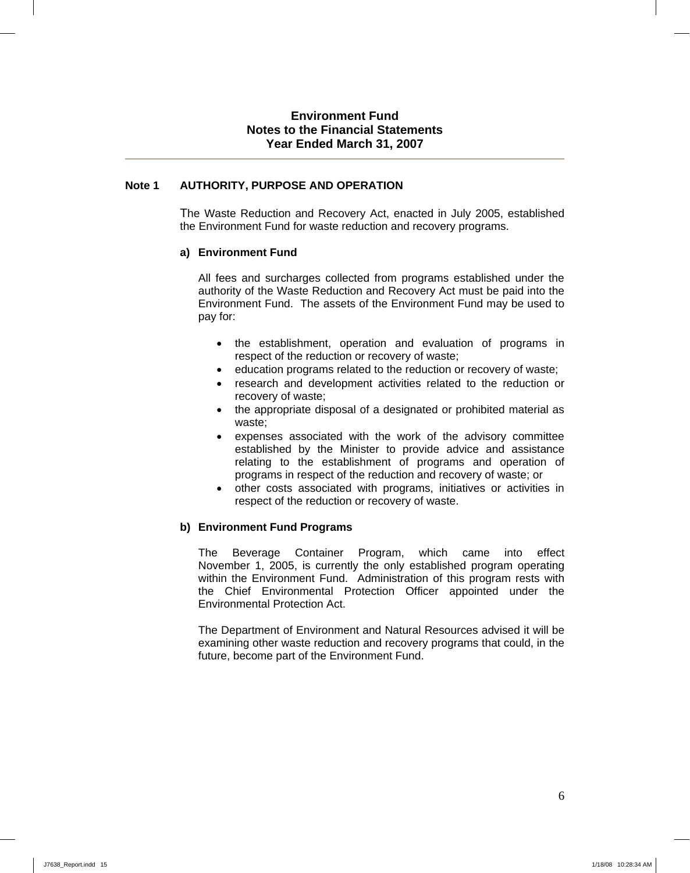### **Environment Fund Notes to the Financial Statements Year Ended March 31, 2007**

### **Note 1 AUTHORITY, PURPOSE AND OPERATION**

The Waste Reduction and Recovery Act, enacted in July 2005, established the Environment Fund for waste reduction and recovery programs.

#### **a) Environment Fund**

 All fees and surcharges collected from programs established under the authority of the Waste Reduction and Recovery Act must be paid into the Environment Fund. The assets of the Environment Fund may be used to pay for:

- the establishment, operation and evaluation of programs in respect of the reduction or recovery of waste;
- education programs related to the reduction or recovery of waste;
- research and development activities related to the reduction or recovery of waste;
- the appropriate disposal of a designated or prohibited material as waste;
- expenses associated with the work of the advisory committee established by the Minister to provide advice and assistance relating to the establishment of programs and operation of programs in respect of the reduction and recovery of waste; or
- other costs associated with programs, initiatives or activities in respect of the reduction or recovery of waste.

### **b) Environment Fund Programs**

The Beverage Container Program, which came into effect November 1, 2005, is currently the only established program operating within the Environment Fund. Administration of this program rests with the Chief Environmental Protection Officer appointed under the Environmental Protection Act.

The Department of Environment and Natural Resources advised it will be examining other waste reduction and recovery programs that could, in the future, become part of the Environment Fund.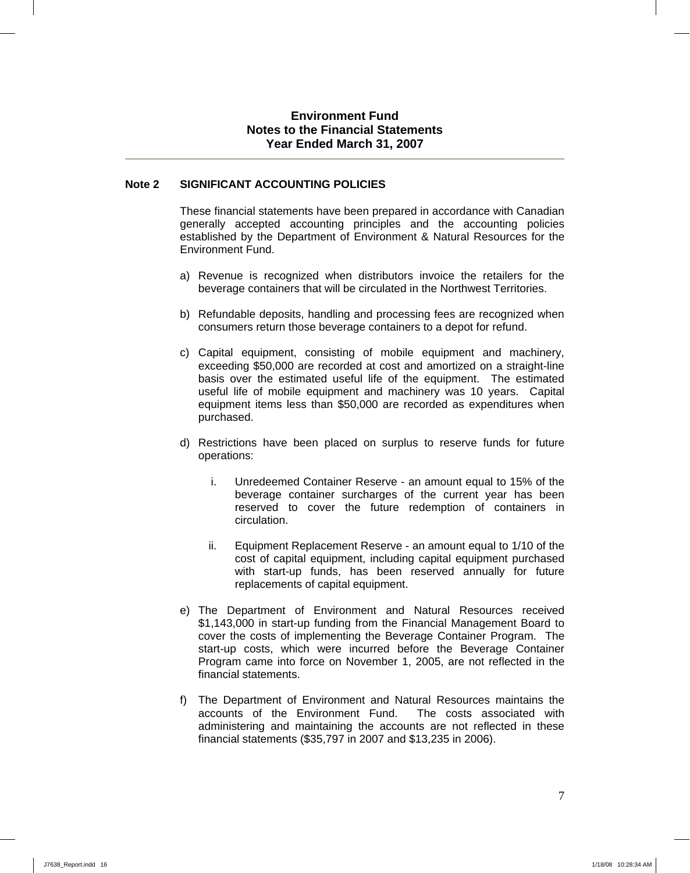### **Environment Fund Notes to the Financial Statements Year Ended March 31, 2007**

### **Note 2 SIGNIFICANT ACCOUNTING POLICIES**

These financial statements have been prepared in accordance with Canadian generally accepted accounting principles and the accounting policies established by the Department of Environment & Natural Resources for the Environment Fund.

- a) Revenue is recognized when distributors invoice the retailers for the beverage containers that will be circulated in the Northwest Territories.
- b) Refundable deposits, handling and processing fees are recognized when consumers return those beverage containers to a depot for refund.
- c) Capital equipment, consisting of mobile equipment and machinery, exceeding \$50,000 are recorded at cost and amortized on a straight-line basis over the estimated useful life of the equipment. The estimated useful life of mobile equipment and machinery was 10 years. Capital equipment items less than \$50,000 are recorded as expenditures when purchased.
- d) Restrictions have been placed on surplus to reserve funds for future operations:
	- i. Unredeemed Container Reserve an amount equal to 15% of the beverage container surcharges of the current year has been reserved to cover the future redemption of containers in circulation.
	- ii. Equipment Replacement Reserve an amount equal to 1/10 of the cost of capital equipment, including capital equipment purchased with start-up funds, has been reserved annually for future replacements of capital equipment.
- e) The Department of Environment and Natural Resources received \$1,143,000 in start-up funding from the Financial Management Board to cover the costs of implementing the Beverage Container Program. The start-up costs, which were incurred before the Beverage Container Program came into force on November 1, 2005, are not reflected in the financial statements.
- f) The Department of Environment and Natural Resources maintains the accounts of the Environment Fund. The costs associated with administering and maintaining the accounts are not reflected in these financial statements (\$35,797 in 2007 and \$13,235 in 2006).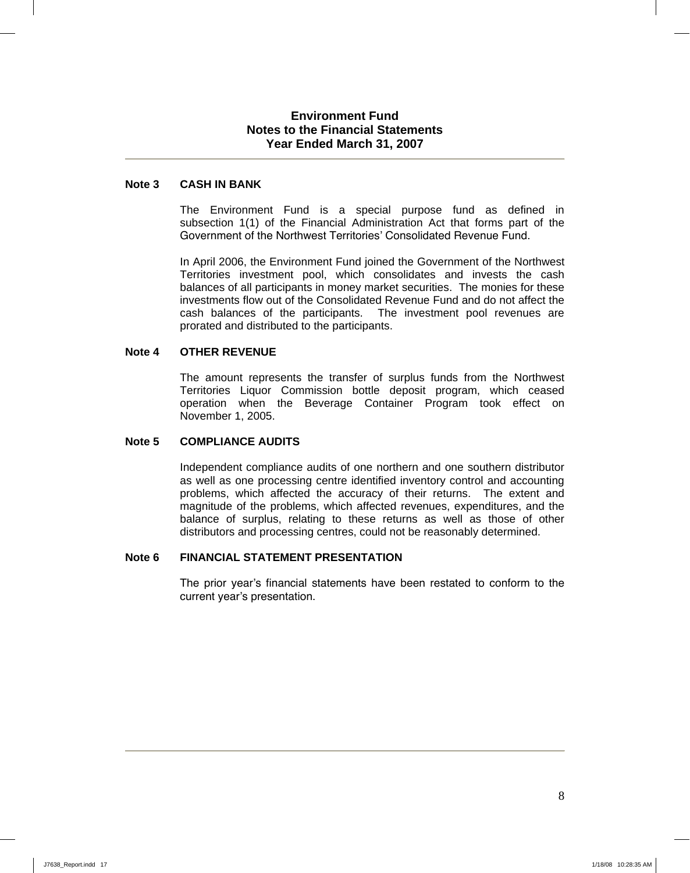### **Environment Fund Notes to the Financial Statements Year Ended March 31, 2007**

### **Note 3 CASH IN BANK**

The Environment Fund is a special purpose fund as defined in subsection 1(1) of the Financial Administration Act that forms part of the Government of the Northwest Territories' Consolidated Revenue Fund.

In April 2006, the Environment Fund joined the Government of the Northwest Territories investment pool, which consolidates and invests the cash balances of all participants in money market securities. The monies for these investments flow out of the Consolidated Revenue Fund and do not affect the cash balances of the participants. The investment pool revenues are prorated and distributed to the participants.

### **Note 4 OTHER REVENUE**

The amount represents the transfer of surplus funds from the Northwest Territories Liquor Commission bottle deposit program, which ceased operation when the Beverage Container Program took effect on November 1, 2005.

#### **Note 5 COMPLIANCE AUDITS**

Independent compliance audits of one northern and one southern distributor as well as one processing centre identified inventory control and accounting problems, which affected the accuracy of their returns. The extent and magnitude of the problems, which affected revenues, expenditures, and the balance of surplus, relating to these returns as well as those of other distributors and processing centres, could not be reasonably determined.

#### **Note 6 FINANCIAL STATEMENT PRESENTATION**

The prior year's financial statements have been restated to conform to the current year's presentation.